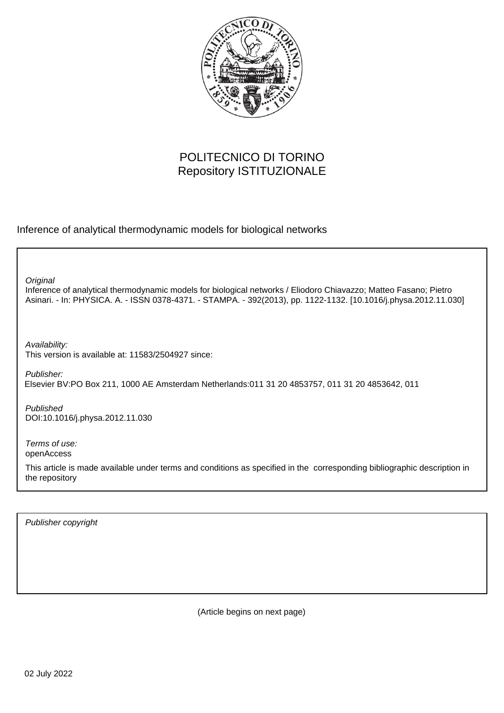

# POLITECNICO DI TORINO Repository ISTITUZIONALE

Inference of analytical thermodynamic models for biological networks

**Original** 

Inference of analytical thermodynamic models for biological networks / Eliodoro Chiavazzo; Matteo Fasano; Pietro Asinari. - In: PHYSICA. A. - ISSN 0378-4371. - STAMPA. - 392(2013), pp. 1122-1132. [10.1016/j.physa.2012.11.030]

Availability: This version is available at: 11583/2504927 since:

Publisher: Elsevier BV:PO Box 211, 1000 AE Amsterdam Netherlands:011 31 20 4853757, 011 31 20 4853642, 011

Published DOI:10.1016/j.physa.2012.11.030

Terms of use: openAccess

This article is made available under terms and conditions as specified in the corresponding bibliographic description in the repository

Publisher copyright

(Article begins on next page)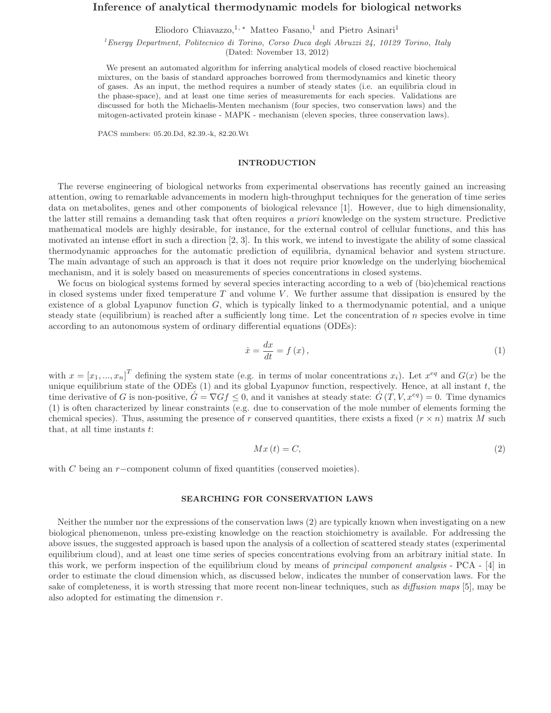# Inference of analytical thermodynamic models for biological networks

Eliodoro Chiavazzo,<sup>1,\*</sup> Matteo Fasano,<sup>1</sup> and Pietro Asinari<sup>1</sup>

<sup>1</sup> Energy Department, Politecnico di Torino, Corso Duca degli Abruzzi 24, 10129 Torino, Italy (Dated: November 13, 2012)

We present an automated algorithm for inferring analytical models of closed reactive biochemical mixtures, on the basis of standard approaches borrowed from thermodynamics and kinetic theory of gases. As an input, the method requires a number of steady states (i.e. an equilibria cloud in the phase-space), and at least one time series of measurements for each species. Validations are discussed for both the Michaelis-Menten mechanism (four species, two conservation laws) and the mitogen-activated protein kinase - MAPK - mechanism (eleven species, three conservation laws).

PACS numbers: 05.20.Dd, 82.39.-k, 82.20.Wt

#### INTRODUCTION

The reverse engineering of biological networks from experimental observations has recently gained an increasing attention, owing to remarkable advancements in modern high-throughput techniques for the generation of time series data on metabolites, genes and other components of biological relevance [1]. However, due to high dimensionality, the latter still remains a demanding task that often requires a priori knowledge on the system structure. Predictive mathematical models are highly desirable, for instance, for the external control of cellular functions, and this has motivated an intense effort in such a direction [2, 3]. In this work, we intend to investigate the ability of some classical thermodynamic approaches for the automatic prediction of equilibria, dynamical behavior and system structure. The main advantage of such an approach is that it does not require prior knowledge on the underlying biochemical mechanism, and it is solely based on measurements of species concentrations in closed systems.

We focus on biological systems formed by several species interacting according to a web of (bio)chemical reactions in closed systems under fixed temperature  $T$  and volume  $V$ . We further assume that dissipation is ensured by the existence of a global Lyapunov function  $G$ , which is typically linked to a thermodynamic potential, and a unique steady state (equilibrium) is reached after a sufficiently long time. Let the concentration of  $n$  species evolve in time according to an autonomous system of ordinary differential equations (ODEs):

$$
\dot{x} = \frac{dx}{dt} = f(x),\tag{1}
$$

with  $x = [x_1, ..., x_n]^T$  defining the system state (e.g. in terms of molar concentrations  $x_i$ ). Let  $x^{eq}$  and  $G(x)$  be the unique equilibrium state of the ODEs  $(1)$  and its global Lyapunov function, respectively. Hence, at all instant t, the time derivative of G is non-positive,  $\hat{G} = \nabla G f \leq 0$ , and it vanishes at steady state:  $\hat{G}(T, V, x^{eq}) = 0$ . Time dynamics (1) is often characterized by linear constraints (e.g. due to conservation of the mole number of elements forming the chemical species). Thus, assuming the presence of r conserved quantities, there exists a fixed  $(r \times n)$  matrix M such that, at all time instants  $t$ :

$$
Mx(t) = C,\t\t(2)
$$

with C being an r−component column of fixed quantities (conserved moieties).

# SEARCHING FOR CONSERVATION LAWS

Neither the number nor the expressions of the conservation laws (2) are typically known when investigating on a new biological phenomenon, unless pre-existing knowledge on the reaction stoichiometry is available. For addressing the above issues, the suggested approach is based upon the analysis of a collection of scattered steady states (experimental equilibrium cloud), and at least one time series of species concentrations evolving from an arbitrary initial state. In this work, we perform inspection of the equilibrium cloud by means of principal component analysis - PCA - [4] in order to estimate the cloud dimension which, as discussed below, indicates the number of conservation laws. For the sake of completeness, it is worth stressing that more recent non-linear techniques, such as *diffusion maps* [5], may be also adopted for estimating the dimension r.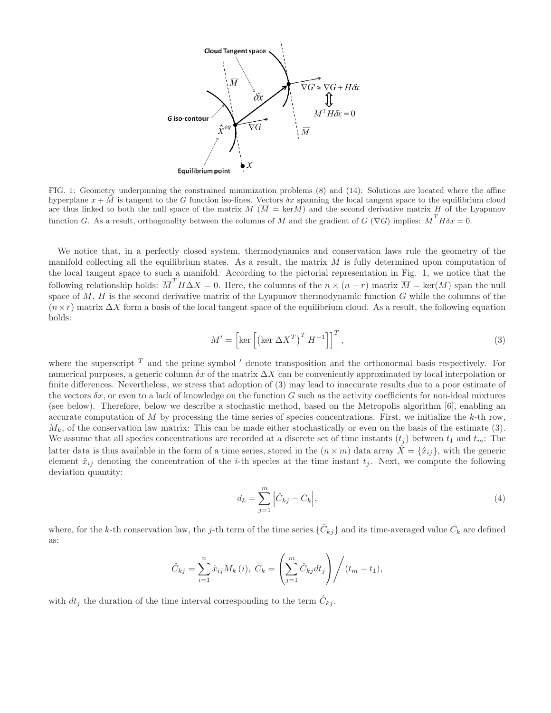

FIG. 1: Geometry underpinning the constrained minimization problems (8) and (14): Solutions are located where the affine hyperplane  $x + \overline{M}$  is tangent to the G function iso-lines. Vectors  $\delta x$  spanning the local tangent space to the equilibrium cloud are thus linked to both the null space of the matrix  $M(\overline{M} = \text{ker}M)$  and the second derivative matrix H of the Lyapunov function G. As a result, orthogonality between the columns of  $\overline{M}$  and the gradient of  $G(\nabla G)$  implies:  $\overline{M}^T H \delta x = 0$ .

We notice that, in a perfectly closed system, thermodynamics and conservation laws rule the geometry of the manifold collecting all the equilibrium states. As a result, the matrix  $M$  is fully determined upon computation of the local tangent space to such a manifold. According to the pictorial representation in Fig. 1, we notice that the following relationship holds:  $\overline{M}^T H \Delta X = 0$ . Here, the columns of the  $n \times (n - r)$  matrix  $\overline{M} = \text{ker}(M)$  span the null space of  $M$ ,  $H$  is the second derivative matrix of the Lyapunov thermodynamic function  $G$  while the columns of the  $(n \times r)$  matrix  $\Delta X$  form a basis of the local tangent space of the equilibrium cloud. As a result, the following equation holds:

$$
M' = \left[ \ker \left[ \left( \ker \Delta X^T \right)^T H^{-1} \right] \right]^T, \tag{3}
$$

where the superscript  $T$  and the prime symbol  $\prime$  denote transposition and the orthonormal basis respectively. For numerical purposes, a generic column  $\delta x$  of the matrix  $\Delta X$  can be conveniently approximated by local interpolation or finite differences. Nevertheless, we stress that adoption of (3) may lead to inaccurate results due to a poor estimate of the vectors  $\delta x$ , or even to a lack of knowledge on the function G such as the activity coefficients for non-ideal mixtures (see below). Therefore, below we describe a stochastic method, based on the Metropolis algorithm [6], enabling an accurate computation of M by processing the time series of species concentrations. First, we initialize the  $k$ -th row,  $M_k$ , of the conservation law matrix: This can be made either stochastically or even on the basis of the estimate (3). We assume that all species concentrations are recorded at a discrete set of time instants  $(t<sub>j</sub>)$  between  $t<sub>1</sub>$  and  $t<sub>m</sub>$ . The latter data is thus available in the form of a time series, stored in the  $(n \times m)$  data array  $\hat{X} = \{\hat{x}_{ij}\}\$ , with the generic element  $\hat{x}_{ij}$  denoting the concentration of the *i*-th species at the time instant  $t_j$ . Next, we compute the following deviation quantity:

$$
d_k = \sum_{j=1}^{m} \left| \hat{C}_{kj} - \bar{C}_k \right|,\tag{4}
$$

where, for the k-th conservation law, the j-th term of the time series  $\{\hat{C}_{kj}\}$  and its time-averaged value  $\bar{C}_k$  are defined as:

$$
\hat{C}_{kj} = \sum_{i=1}^{n} \hat{x}_{ij} M_k(i), \ \bar{C}_k = \left(\sum_{j=1}^{m} \hat{C}_{kj} dt_j\right) / (t_m - t_1),
$$

with  $dt_j$  the duration of the time interval corresponding to the term  $\hat{C}_{kj}$ .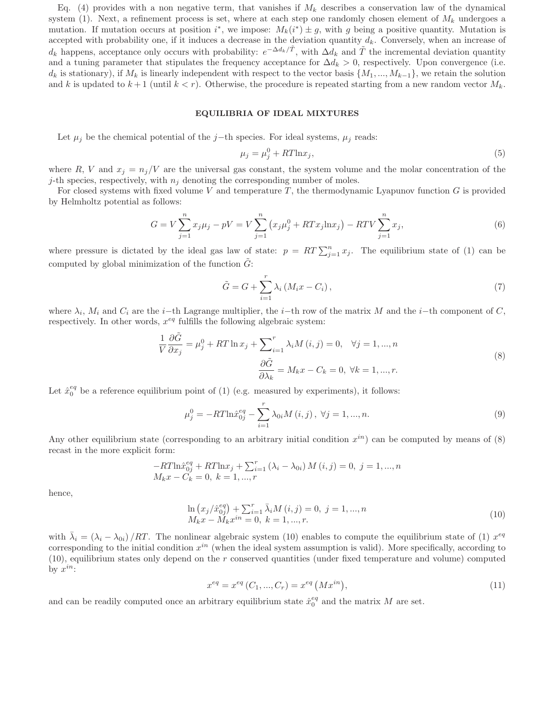Eq. (4) provides with a non negative term, that vanishes if  $M_k$  describes a conservation law of the dynamical system (1). Next, a refinement process is set, where at each step one randomly chosen element of  $M_k$  undergoes a mutation. If mutation occurs at position  $i^*$ , we impose:  $M_k(i^*) \pm g$ , with g being a positive quantity. Mutation is accepted with probability one, if it induces a decrease in the deviation quantity  $d_k$ . Conversely, when an increase of  $d_k$  happens, acceptance only occurs with probability:  $e^{-\Delta d_k/\tilde{T}}$ , with  $\Delta d_k$  and  $\tilde{T}$  the incremental deviation quantity and a tuning parameter that stipulates the frequency acceptance for  $\Delta d_k > 0$ , respectively. Upon convergence (i.e.  $d_k$  is stationary), if  $M_k$  is linearly independent with respect to the vector basis  $\{M_1, ..., M_{k-1}\}\,$ , we retain the solution and k is updated to  $k+1$  (until  $k < r$ ). Otherwise, the procedure is repeated starting from a new random vector  $M_k$ .

# EQUILIBRIA OF IDEAL MIXTURES

Let  $\mu_j$  be the chemical potential of the j−th species. For ideal systems,  $\mu_j$  reads:

$$
\mu_j = \mu_j^0 + RT \ln x_j,\tag{5}
$$

where R, V and  $x_i = n_i/V$  are the universal gas constant, the system volume and the molar concentration of the j-th species, respectively, with  $n_j$  denoting the corresponding number of moles.

For closed systems with fixed volume  $V$  and temperature  $T$ , the thermodynamic Lyapunov function  $G$  is provided by Helmholtz potential as follows:

$$
G = V \sum_{j=1}^{n} x_j \mu_j - pV = V \sum_{j=1}^{n} (x_j \mu_j^0 + RT x_j \ln x_j) - RT V \sum_{j=1}^{n} x_j,
$$
\n(6)

where pressure is dictated by the ideal gas law of state:  $p = RT \sum_{j=1}^{n} x_j$ . The equilibrium state of (1) can be computed by global minimization of the function  $\tilde{G}$ :

$$
\tilde{G} = G + \sum_{i=1}^{r} \lambda_i \left( M_i x - C_i \right),\tag{7}
$$

where  $\lambda_i$ ,  $M_i$  and  $C_i$  are the *i*−th Lagrange multiplier, the *i*−th row of the matrix M and the *i*−th component of C, respectively. In other words,  $x^{eq}$  fulfills the following algebraic system:

$$
\frac{1}{V}\frac{\partial \tilde{G}}{\partial x_j} = \mu_j^0 + RT \ln x_j + \sum_{i=1}^r \lambda_i M(i,j) = 0, \quad \forall j = 1, ..., n
$$
\n
$$
\frac{\partial \tilde{G}}{\partial \lambda_k} = M_k x - C_k = 0, \quad \forall k = 1, ..., r.
$$
\n(8)

Let  $\hat{x}_0^{eq}$  be a reference equilibrium point of (1) (e.g. measured by experiments), it follows:

$$
\mu_j^0 = -RT \ln \hat{x}_{0j}^{eq} - \sum_{i=1}^r \lambda_{0i} M(i, j), \ \forall j = 1, ..., n. \tag{9}
$$

Any other equilibrium state (corresponding to an arbitrary initial condition  $x^{in}$ ) can be computed by means of  $(8)$ recast in the more explicit form:

$$
-RT \ln \hat{x}_{0j}^{eq} + RT \ln x_j + \sum_{i=1}^{r} (\lambda_i - \lambda_{0i}) M(i, j) = 0, j = 1, ..., n
$$
  

$$
M_k x - C_k = 0, k = 1, ..., r
$$

hence,

$$
\ln (x_j / \hat{x}_{0j}^{eq}) + \sum_{i=1}^{r} \bar{\lambda}_i M(i, j) = 0, \ j = 1, ..., n
$$
  

$$
M_k x - M_k x^{in} = 0, \ k = 1, ..., r.
$$
 (10)

with  $\bar{\lambda}_i = (\lambda_i - \lambda_{0i})/RT$ . The nonlinear algebraic system (10) enables to compute the equilibrium state of (1)  $x^{eq}$ corresponding to the initial condition  $x^{in}$  (when the ideal system assumption is valid). More specifically, according to (10), equilibrium states only depend on the r conserved quantities (under fixed temperature and volume) computed by  $x^{in}$ :

$$
x^{eq} = x^{eq} (C_1, ..., C_r) = x^{eq} (M x^{in}),
$$
\n(11)

and can be readily computed once an arbitrary equilibrium state  $\hat{x}_0^{eq}$  and the matrix M are set.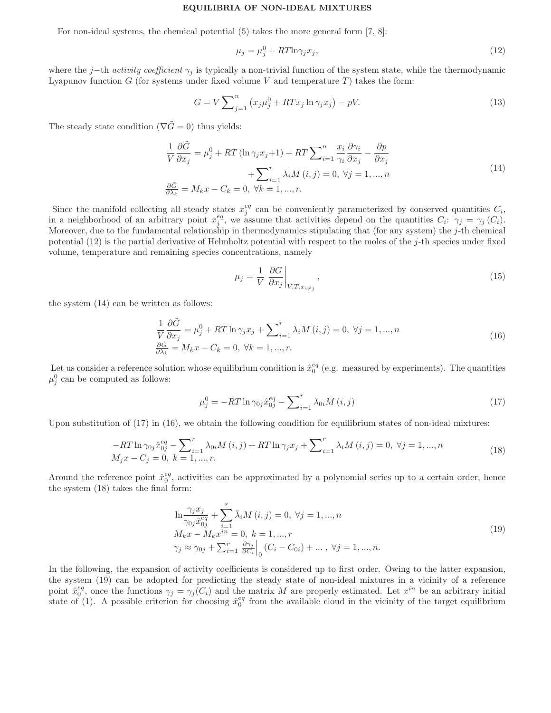#### EQUILIBRIA OF NON-IDEAL MIXTURES

For non-ideal systems, the chemical potential (5) takes the more general form [7, 8]:

$$
\mu_j = \mu_j^0 + RT \ln \gamma_j x_j,\tag{12}
$$

where the j−th activity coefficient  $\gamma_i$  is typically a non-trivial function of the system state, while the thermodynamic Lyapunov function G (for systems under fixed volume V and temperature  $T$ ) takes the form:

$$
G = V \sum_{j=1}^{n} \left( x_j \mu_j^0 + RT x_j \ln \gamma_j x_j \right) - pV. \tag{13}
$$

The steady state condition ( $\nabla \tilde{G} = 0$ ) thus yields:

$$
\frac{1}{V}\frac{\partial \tilde{G}}{\partial x_j} = \mu_j^0 + RT\left(\ln \gamma_j x_j + 1\right) + RT\sum_{i=1}^n \frac{x_i}{\gamma_i} \frac{\partial \gamma_i}{\partial x_j} - \frac{\partial p}{\partial x_j} + \sum_{i=1}^r \lambda_i M\left(i, j\right) = 0, \ \forall j = 1, ..., n
$$
\n
$$
\frac{\partial \tilde{G}}{\partial \lambda_k} = M_k x - C_k = 0, \ \forall k = 1, ..., r.
$$
\n(14)

Since the manifold collecting all steady states  $x_j^{eq}$  can be conveniently parameterized by conserved quantities  $C_i$ , in a neighborhood of an arbitrary point  $x_j^{eq}$ , we assume that activities depend on the quantities  $C_i$ :  $\gamma_j = \gamma_j (C_i)$ . Moreover, due to the fundamental relationship in thermodynamics stipulating that (for any system) the  $j$ -th chemical potential  $(12)$  is the partial derivative of Helmholtz potential with respect to the moles of the j-th species under fixed volume, temperature and remaining species concentrations, namely

$$
\mu_j = \frac{1}{V} \left. \frac{\partial G}{\partial x_j} \right|_{V,T,x_{i \neq j}},\tag{15}
$$

the system (14) can be written as follows:

$$
\frac{1}{V}\frac{\partial\tilde{G}}{\partial x_j} = \mu_j^0 + RT \ln \gamma_j x_j + \sum_{i=1}^r \lambda_i M(i,j) = 0, \ \forall j = 1, \dots, n
$$
\n
$$
\frac{\partial\tilde{G}}{\partial \lambda_k} = M_k x - C_k = 0, \ \forall k = 1, \dots, r.
$$
\n(16)

Let us consider a reference solution whose equilibrium condition is  $\hat{x}_0^{eq}$  (e.g. measured by experiments). The quantities  $\mu_j^0$  can be computed as follows:

$$
\mu_j^0 = -RT \ln \gamma_{0j} \hat{x}_{0j}^{eq} - \sum_{i=1}^r \lambda_{0i} M(i,j)
$$
\n(17)

Upon substitution of  $(17)$  in  $(16)$ , we obtain the following condition for equilibrium states of non-ideal mixtures:

$$
-RT \ln \gamma_{0j} \hat{x}_{0j}^{eq} - \sum_{i=1}^{r} \lambda_{0i} M(i,j) + RT \ln \gamma_j x_j + \sum_{i=1}^{r} \lambda_i M(i,j) = 0, \ \forall j = 1, ..., n
$$
  

$$
M_j x - C_j = 0, \ k = 1, ..., r.
$$
 (18)

Around the reference point  $\hat{x}_0^{eq}$ , activities can be approximated by a polynomial series up to a certain order, hence the system (18) takes the final form:

$$
\ln \frac{\gamma_j x_j}{\gamma_{0j} \hat{x}_{0j}^{eq}} + \sum_{i=1}^r \bar{\lambda}_i M(i, j) = 0, \ \forall j = 1, ..., n
$$
  
\n
$$
M_k x - M_k x^{in} = 0, \ k = 1, ..., r
$$
  
\n
$$
\gamma_j \approx \gamma_{0j} + \sum_{i=1}^r \frac{\partial \gamma_j}{\partial C_i} \Big|_{0} (C_i - C_{0i}) + ..., \ \forall j = 1, ..., n.
$$
\n(19)

In the following, the expansion of activity coefficients is considered up to first order. Owing to the latter expansion, the system (19) can be adopted for predicting the steady state of non-ideal mixtures in a vicinity of a reference point  $\hat{x}_0^{eq}$ , once the functions  $\gamma_j = \gamma_j(C_i)$  and the matrix M are properly estimated. Let  $x^{in}$  be an arbitrary initial state of (1). A possible criterion for choosing  $\hat{x}_0^{eq}$  from the available cloud in the vicinity of the target equilibrium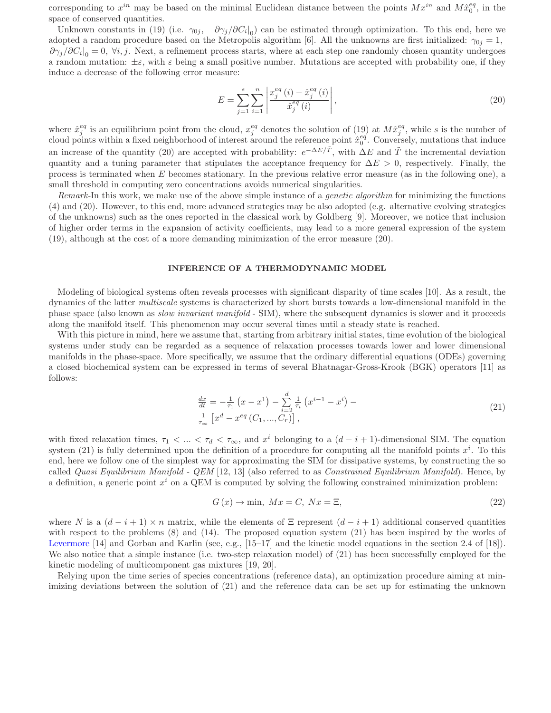corresponding to  $x^{in}$  may be based on the minimal Euclidean distance between the points  $Mx^{in}$  and  $M\hat{x}^{eq}_0$ , in the space of conserved quantities.

Unknown constants in (19) (i.e.  $\gamma_{0j}$ ,  $\partial \gamma_j/\partial C_i|_{0}$ ) can be estimated through optimization. To this end, here we adopted a random procedure based on the Metropolis algorithm [6]. All the unknowns are first initialized:  $\gamma_{0j} = 1$ ,  $\partial\gamma_j/\partial C_i|_0=0$ ,  $\forall i, j$ . Next, a refinement process starts, where at each step one randomly chosen quantity undergoes a random mutation:  $\pm \varepsilon$ , with  $\varepsilon$  being a small positive number. Mutations are accepted with probability one, if they induce a decrease of the following error measure:

$$
E = \sum_{j=1}^{s} \sum_{i=1}^{n} \left| \frac{x_j^{eq}(i) - \hat{x}_j^{eq}(i)}{\hat{x}_j^{eq}(i)} \right|,
$$
\n(20)

where  $\hat{x}_j^{eq}$  is an equilibrium point from the cloud,  $x_j^{eq}$  denotes the solution of (19) at  $M\hat{x}_j^{eq}$ , while s is the number of cloud points within a fixed neighborhood of interest around the reference point  $\hat{x}_0^{eq}$ . Conversely, mutations that induce an increase of the quantity (20) are accepted with probability:  $e^{-\Delta E/\tilde{T}}$ , with  $\Delta E$  and  $\tilde{T}$  the incremental deviation quantity and a tuning parameter that stipulates the acceptance frequency for  $\Delta E > 0$ , respectively. Finally, the process is terminated when E becomes stationary. In the previous relative error measure (as in the following one), a small threshold in computing zero concentrations avoids numerical singularities.

Remark-In this work, we make use of the above simple instance of a *genetic algorithm* for minimizing the functions (4) and (20). However, to this end, more advanced strategies may be also adopted (e.g. alternative evolving strategies of the unknowns) such as the ones reported in the classical work by Goldberg [9]. Moreover, we notice that inclusion of higher order terms in the expansion of activity coefficients, may lead to a more general expression of the system (19), although at the cost of a more demanding minimization of the error measure (20).

# INFERENCE OF A THERMODYNAMIC MODEL

Modeling of biological systems often reveals processes with significant disparity of time scales [10]. As a result, the dynamics of the latter multiscale systems is characterized by short bursts towards a low-dimensional manifold in the phase space (also known as slow invariant manifold - SIM), where the subsequent dynamics is slower and it proceeds along the manifold itself. This phenomenon may occur several times until a steady state is reached.

With this picture in mind, here we assume that, starting from arbitrary initial states, time evolution of the biological systems under study can be regarded as a sequence of relaxation processes towards lower and lower dimensional manifolds in the phase-space. More specifically, we assume that the ordinary differential equations (ODEs) governing a closed biochemical system can be expressed in terms of several Bhatnagar-Gross-Krook (BGK) operators [11] as follows:

$$
\frac{dx}{dt} = -\frac{1}{\tau_1} \left( x - x^1 \right) - \sum_{i=2}^d \frac{1}{\tau_i} \left( x^{i-1} - x^i \right) - \frac{1}{\tau_{\infty}} \left[ x^d - x^{eq} \left( C_1, \dots, C_r \right) \right],\tag{21}
$$

with fixed relaxation times,  $\tau_1 < ... < \tau_d < \tau_{\infty}$ , and  $x^i$  belonging to a  $(d-i+1)$ -dimensional SIM. The equation system (21) is fully determined upon the definition of a procedure for computing all the manifold points  $x^i$ . To this end, here we follow one of the simplest way for approximating the SIM for dissipative systems, by constructing the so called Quasi Equilibrium Manifold - QEM [12, 13] (also referred to as Constrained Equilibrium Manifold). Hence, by a definition, a generic point  $x^i$  on a QEM is computed by solving the following constrained minimization problem:

$$
G(x) \to \min, \, Mx = C, \, Nx = \Xi,\tag{22}
$$

where N is a  $(d-i+1) \times n$  matrix, while the elements of  $\Xi$  represent  $(d-i+1)$  additional conserved quantities with respect to the problems (8) and (14). The proposed equation system (21) has been inspired by the works of Levermore [14] and Gorban and Karlin (see, e.g., [15–17] and the kinetic model equations in the section 2.4 of [18]). We also notice that a simple instance (i.e. two-step relaxation model) of  $(21)$  has been successfully employed for the kinetic modeling of multicomponent gas mixtures [19, 20].

Relying upon the time series of species concentrations (reference data), an optimization procedure aiming at minimizing deviations between the solution of (21) and the reference data can be set up for estimating the unknown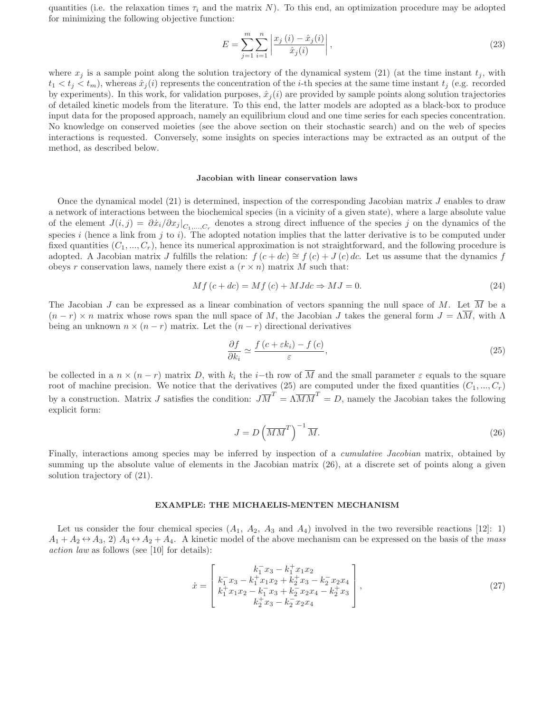quantities (i.e. the relaxation times  $\tau_i$  and the matrix N). To this end, an optimization procedure may be adopted for minimizing the following objective function:

$$
E = \sum_{j=1}^{m} \sum_{i=1}^{n} \left| \frac{x_j(i) - \hat{x}_j(i)}{\hat{x}_j(i)} \right|,
$$
\n(23)

where  $x_j$  is a sample point along the solution trajectory of the dynamical system (21) (at the time instant  $t_j$ , with  $t_1 < t_j < t_m$ ), whereas  $\hat{x}_j(i)$  represents the concentration of the *i*-th species at the same time instant  $t_j$  (e.g. recorded by experiments). In this work, for validation purposes,  $\hat{x}_i(i)$  are provided by sample points along solution trajectories of detailed kinetic models from the literature. To this end, the latter models are adopted as a black-box to produce input data for the proposed approach, namely an equilibrium cloud and one time series for each species concentration. No knowledge on conserved moieties (see the above section on their stochastic search) and on the web of species interactions is requested. Conversely, some insights on species interactions may be extracted as an output of the method, as described below.

#### Jacobian with linear conservation laws

Once the dynamical model (21) is determined, inspection of the corresponding Jacobian matrix J enables to draw a network of interactions between the biochemical species (in a vicinity of a given state), where a large absolute value of the element  $J(i, j) = \partial \dot{x}_i / \partial x_j \big|_{C_1, \dots, C_r}$  denotes a strong direct influence of the species j on the dynamics of the species  $i$  (hence a link from  $j$  to  $i$ ). The adopted notation implies that the latter derivative is to be computed under fixed quantities  $(C_1, ..., C_r)$ , hence its numerical approximation is not straightforward, and the following procedure is adopted. A Jacobian matrix J fulfills the relation:  $f(c+dc) \cong f(c)+J(c)dc$ . Let us assume that the dynamics f obeys r conservation laws, namely there exist a  $(r \times n)$  matrix M such that:

$$
Mf(c+dc) = Mf(c) + MJdc \Rightarrow MJ = 0.
$$
\n
$$
(24)
$$

The Jacobian J can be expressed as a linear combination of vectors spanning the null space of M. Let  $\overline{M}$  be a  $(n - r) \times n$  matrix whose rows span the null space of M, the Jacobian J takes the general form  $J = \Lambda \overline{M}$ , with  $\Lambda$ being an unknown  $n \times (n - r)$  matrix. Let the  $(n - r)$  directional derivatives

$$
\frac{\partial f}{\partial k_i} \simeq \frac{f(c + \varepsilon k_i) - f(c)}{\varepsilon},\tag{25}
$$

be collected in a  $n \times (n - r)$  matrix D, with  $k_i$  the i–th row of  $\overline{M}$  and the small parameter  $\varepsilon$  equals to the square root of machine precision. We notice that the derivatives (25) are computed under the fixed quantities  $(C_1, ..., C_r)$ by a construction. Matrix J satisfies the condition:  $J\overline{M}^T = \Lambda \overline{M} \overline{M}^T = D$ , namely the Jacobian takes the following explicit form:

$$
J = D\left(\overline{MM}^T\right)^{-1}\overline{M}.\tag{26}
$$

Finally, interactions among species may be inferred by inspection of a *cumulative Jacobian* matrix, obtained by summing up the absolute value of elements in the Jacobian matrix (26), at a discrete set of points along a given solution trajectory of (21).

# EXAMPLE: THE MICHAELIS-MENTEN MECHANISM

Let us consider the four chemical species  $(A_1, A_2, A_3 \text{ and } A_4)$  involved in the two reversible reactions [12]: 1)  $A_1 + A_2 \leftrightarrow A_3$ , 2)  $A_3 \leftrightarrow A_2 + A_4$ . A kinetic model of the above mechanism can be expressed on the basis of the mass action law as follows (see [10] for details):

$$
\dot{x} = \begin{bmatrix} k_1^- x_3 - k_1^+ x_1 x_2 \\ k_1^- x_3 - k_1^+ x_1 x_2 + k_2^+ x_3 - k_2^- x_2 x_4 \\ k_1^+ x_1 x_2 - k_1^- x_3 + k_2^- x_2 x_4 - k_2^+ x_3 \\ k_2^+ x_3 - k_2^- x_2 x_4 \end{bmatrix},
$$
\n(27)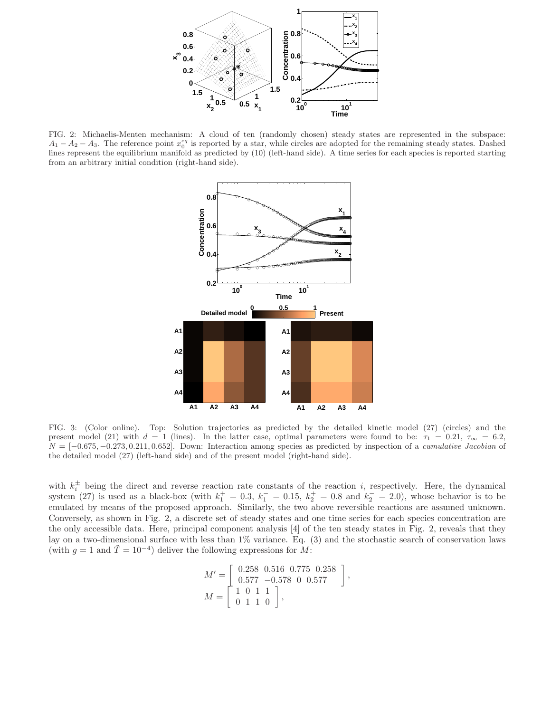

FIG. 2: Michaelis-Menten mechanism: A cloud of ten (randomly chosen) steady states are represented in the subspace:  $A_1 - A_2 - A_3$ . The reference point  $x_0^{eq}$  is reported by a star, while circles are adopted for the remaining steady states. Dashed lines represent the equilibrium manifold as predicted by (10) (left-hand side). A time series for each species is reported starting from an arbitrary initial condition (right-hand side).



FIG. 3: (Color online). Top: Solution trajectories as predicted by the detailed kinetic model (27) (circles) and the present model (21) with  $d = 1$  (lines). In the latter case, optimal parameters were found to be:  $\tau_1 = 0.21$ ,  $\tau_{\infty} = 6.2$ ,  $N = [-0.675, -0.273, 0.211, 0.652]$ . Down: Interaction among species as predicted by inspection of a *cumulative Jacobian* of the detailed model (27) (left-hand side) and of the present model (right-hand side).

with  $k_i^{\pm}$  $\overline{i}$  being the direct and reverse reaction rate constants of the reaction i, respectively. Here, the dynamical system (27) is used as a black-box (with  $k_1^+ = 0.3$ ,  $k_1^- = 0.15$ ,  $k_2^+ = 0.8$  and  $k_2^- = 2.0$ ), whose behavior is to be emulated by means of the proposed approach. Similarly, the two above reversible reactions are assumed unknown. Conversely, as shown in Fig. 2, a discrete set of steady states and one time series for each species concentration are the only accessible data. Here, principal component analysis [4] of the ten steady states in Fig. 2, reveals that they lay on a two-dimensional surface with less than 1% variance. Eq. (3) and the stochastic search of conservation laws (with  $g = 1$  and  $\tilde{T} = 10^{-4}$ ) deliver the following expressions for M:

$$
M' = \left[ \begin{array}{ccc} 0.258 & 0.516 & 0.775 & 0.258 \\ 0.577 & -0.578 & 0 & 0.577 \end{array} \right],
$$
  

$$
M = \left[ \begin{array}{ccc} 1 & 0 & 1 & 1 \\ 0 & 1 & 1 & 0 \end{array} \right],
$$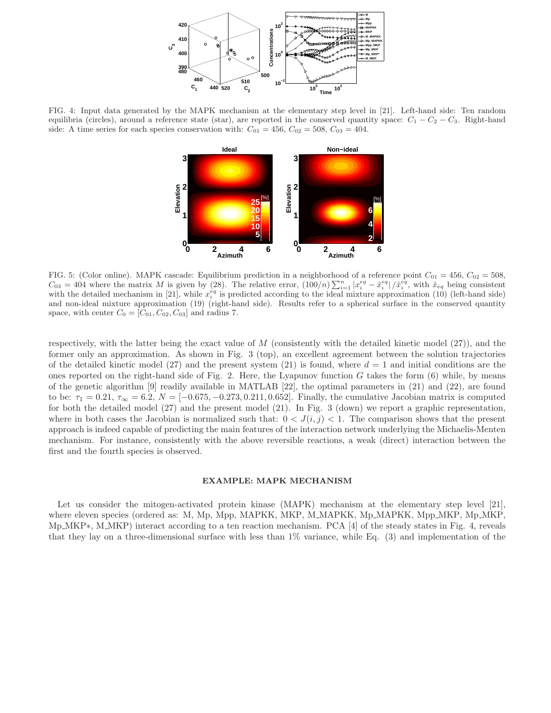

FIG. 4: Input data generated by the MAPK mechanism at the elementary step level in [21]. Left-hand side: Ten random equilibria (circles), around a reference state (star), are reported in the conserved quantity space:  $C_1 - C_2 - C_3$ . Right-hand side: A time series for each species conservation with:  $C_{01} = 456$ ,  $C_{02} = 508$ ,  $C_{03} = 404$ .



FIG. 5: (Color online). MAPK cascade: Equilibrium prediction in a neighborhood of a reference point  $C_{01} = 456$ ,  $C_{02} = 508$ ,  $C_{03} = 404$  where the matrix M is given by (28). The relative error,  $(100/n) \sum_{i=1}^{n} |x_i^{eq} - \hat{x}_i^{eq}| / \hat{x}_i^{eq}$ , with  $\hat{x}_{eq}$  being consistent with the detailed mechanism in [21], while  $x_i^{eq}$  is predicted according to the ideal mixture approximation (10) (left-hand side) and non-ideal mixture approximation (19) (right-hand side). Results refer to a spherical surface in the conserved quantity space, with center  $C_0 = [C_{01}, C_{02}, C_{03}]$  and radius 7.

respectively, with the latter being the exact value of  $M$  (consistently with the detailed kinetic model  $(27)$ ), and the former only an approximation. As shown in Fig. 3 (top), an excellent agreement between the solution trajectories of the detailed kinetic model (27) and the present system (21) is found, where  $d = 1$  and initial conditions are the ones reported on the right-hand side of Fig. 2. Here, the Lyapunov function  $G$  takes the form  $(6)$  while, by means of the genetic algorithm [9] readily available in MATLAB [22], the optimal parameters in (21) and (22), are found to be:  $\tau_1 = 0.21$ ,  $\tau_{\infty} = 6.2$ ,  $N = [-0.675, -0.273, 0.211, 0.652]$ . Finally, the cumulative Jacobian matrix is computed for both the detailed model (27) and the present model (21). In Fig. 3 (down) we report a graphic representation, where in both cases the Jacobian is normalized such that:  $0 < J(i, j) < 1$ . The comparison shows that the present approach is indeed capable of predicting the main features of the interaction network underlying the Michaelis-Menten mechanism. For instance, consistently with the above reversible reactions, a weak (direct) interaction between the first and the fourth species is observed.

#### EXAMPLE: MAPK MECHANISM

Let us consider the mitogen-activated protein kinase (MAPK) mechanism at the elementary step level [21], where eleven species (ordered as: M, Mp, Mpp, MAPKK, MKP, M\_MAPKK, Mp\_MAPKK, Mpp\_MKP, Mp\_MKP, Mp MKP∗, M MKP) interact according to a ten reaction mechanism. PCA [4] of the steady states in Fig. 4, reveals that they lay on a three-dimensional surface with less than 1% variance, while Eq. (3) and implementation of the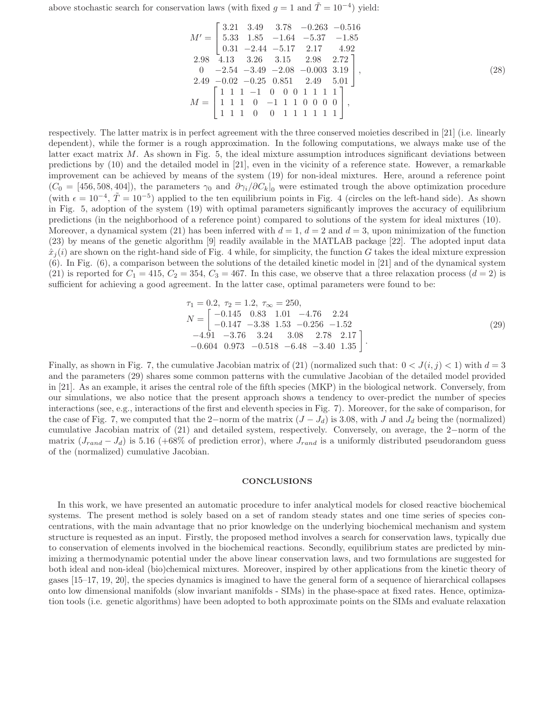above stochastic search for conservation laws (with fixed  $g = 1$  and  $\tilde{T} = 10^{-4}$ ) yield:

$$
M' = \begin{bmatrix} 3.21 & 3.49 & 3.78 & -0.263 & -0.516 \\ 5.33 & 1.85 & -1.64 & -5.37 & -1.85 \\ 0.31 & -2.44 & -5.17 & 2.17 & 4.92 \\ 2.98 & 4.13 & 3.26 & 3.15 & 2.98 & 2.72 \\ 0 & -2.54 & -3.49 & -2.08 & -0.003 & 3.19 \\ 2.49 & -0.02 & -0.25 & 0.851 & 2.49 & 5.01 \\ 1 & 1 & 1 & 0 & -1 & 1 & 0 & 0 & 0 \\ 1 & 1 & 1 & 0 & 0 & 1 & 1 & 1 & 1 \end{bmatrix},
$$
\n
$$
M = \begin{bmatrix} 1 & 1 & 1 & -1 & 0 & 0 & 0 & 1 & 1 & 1 & 1 \\ 1 & 1 & 1 & 0 & -1 & 1 & 1 & 0 & 0 & 0 \\ 1 & 1 & 1 & 0 & 0 & 1 & 1 & 1 & 1 & 1 \end{bmatrix},
$$
\n(28)

respectively. The latter matrix is in perfect agreement with the three conserved moieties described in [21] (i.e. linearly dependent), while the former is a rough approximation. In the following computations, we always make use of the latter exact matrix M. As shown in Fig. 5, the ideal mixture assumption introduces significant deviations between predictions by (10) and the detailed model in [21], even in the vicinity of a reference state. However, a remarkable improvement can be achieved by means of the system (19) for non-ideal mixtures. Here, around a reference point  $(C_0 = [456, 508, 404]$ , the parameters  $\gamma_0$  and  $\partial \gamma_i/\partial C_k|_0$  were estimated trough the above optimization procedure (with  $\epsilon = 10^{-4}$ ,  $\tilde{T} = 10^{-5}$ ) applied to the ten equilibrium points in Fig. 4 (circles on the left-hand side). As shown in Fig. 5, adoption of the system (19) with optimal parameters significantly improves the accuracy of equilibrium predictions (in the neighborhood of a reference point) compared to solutions of the system for ideal mixtures (10). Moreover, a dynamical system (21) has been inferred with  $d = 1$ ,  $d = 2$  and  $d = 3$ , upon minimization of the function (23) by means of the genetic algorithm [9] readily available in the MATLAB package [22]. The adopted input data  $\hat{x}_j(i)$  are shown on the right-hand side of Fig. 4 while, for simplicity, the function G takes the ideal mixture expression (6). In Fig. (6), a comparison between the solutions of the detailed kinetic model in [21] and of the dynamical system (21) is reported for  $C_1 = 415$ ,  $C_2 = 354$ ,  $C_3 = 467$ . In this case, we observe that a three relaxation process  $(d = 2)$  is sufficient for achieving a good agreement. In the latter case, optimal parameters were found to be:

$$
\tau_1 = 0.2, \ \tau_2 = 1.2, \ \tau_{\infty} = 250, \nN = \begin{bmatrix} -0.145 & 0.83 & 1.01 & -4.76 & 2.24 \\ -0.147 & -3.38 & 1.53 & -0.256 & -1.52 \\ -4.91 & -3.76 & 3.24 & 3.08 & 2.78 & 2.17 \\ -0.604 & 0.973 & -0.518 & -6.48 & -3.40 & 1.35 \end{bmatrix}.
$$
\n(29)

Finally, as shown in Fig. 7, the cumulative Jacobian matrix of (21) (normalized such that:  $0 < J(i, j) < 1$ ) with  $d = 3$ and the parameters (29) shares some common patterns with the cumulative Jacobian of the detailed model provided in [21]. As an example, it arises the central role of the fifth species (MKP) in the biological network. Conversely, from our simulations, we also notice that the present approach shows a tendency to over-predict the number of species interactions (see, e.g., interactions of the first and eleventh species in Fig. 7). Moreover, for the sake of comparison, for the case of Fig. 7, we computed that the 2−norm of the matrix  $(J - J_d)$  is 3.08, with J and  $J_d$  being the (normalized) cumulative Jacobian matrix of (21) and detailed system, respectively. Conversely, on average, the 2−norm of the matrix  $(J_{rand} - J_d)$  is 5.16 (+68% of prediction error), where  $J_{rand}$  is a uniformly distributed pseudorandom guess of the (normalized) cumulative Jacobian.

#### **CONCLUSIONS**

In this work, we have presented an automatic procedure to infer analytical models for closed reactive biochemical systems. The present method is solely based on a set of random steady states and one time series of species concentrations, with the main advantage that no prior knowledge on the underlying biochemical mechanism and system structure is requested as an input. Firstly, the proposed method involves a search for conservation laws, typically due to conservation of elements involved in the biochemical reactions. Secondly, equilibrium states are predicted by minimizing a thermodynamic potential under the above linear conservation laws, and two formulations are suggested for both ideal and non-ideal (bio)chemical mixtures. Moreover, inspired by other applications from the kinetic theory of gases [15–17, 19, 20], the species dynamics is imagined to have the general form of a sequence of hierarchical collapses onto low dimensional manifolds (slow invariant manifolds - SIMs) in the phase-space at fixed rates. Hence, optimization tools (i.e. genetic algorithms) have been adopted to both approximate points on the SIMs and evaluate relaxation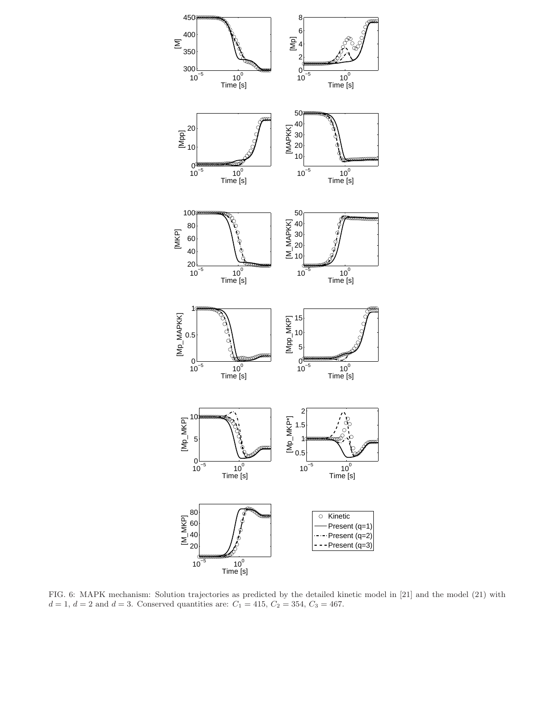

FIG. 6: MAPK mechanism: Solution trajectories as predicted by the detailed kinetic model in [21] and the model (21) with  $d = 1, d = 2$  and  $d = 3$ . Conserved quantities are:  $C_1 = 415, C_2 = 354, C_3 = 467$ .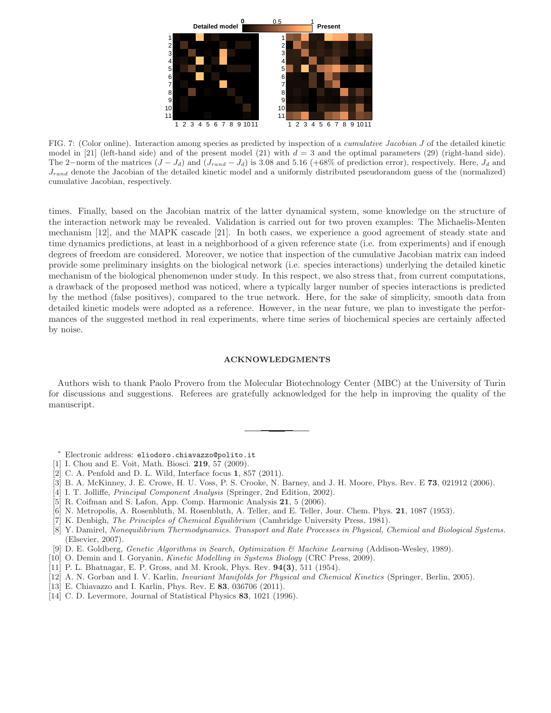

FIG. 7: (Color online). Interaction among species as predicted by inspection of a *cumulative Jacobian J* of the detailed kinetic model in [21] (left-hand side) and of the present model (21) with  $d = 3$  and the optimal parameters (29) (right-hand side). The 2–norm of the matrices  $(J - J_d)$  and  $(J_{rand} - J_d)$  is 3.08 and 5.16 (+68% of prediction error), respectively. Here,  $J_d$  and  $J_{rand}$  denote the Jacobian of the detailed kinetic model and a uniformly distributed pseudorandom guess of the (normalized) cumulative Jacobian, respectively.

times. Finally, based on the Jacobian matrix of the latter dynamical system, some knowledge on the structure of the interaction network may be revealed. Validation is carried out for two proven examples: The Michaelis-Menten mechanism [12], and the MAPK cascade [21]. In both cases, we experience a good agreement of steady state and time dynamics predictions, at least in a neighborhood of a given reference state (i.e. from experiments) and if enough degrees of freedom are considered. Moreover, we notice that inspection of the cumulative Jacobian matrix can indeed provide some preliminary insights on the biological network (i.e. species interactions) underlying the detailed kinetic mechanism of the biological phenomenon under study. In this respect, we also stress that, from current computations, a drawback of the proposed method was noticed, where a typically larger number of species interactions is predicted by the method (false positives), compared to the true network. Here, for the sake of simplicity, smooth data from detailed kinetic models were adopted as a reference. However, in the near future, we plan to investigate the performances of the suggested method in real experiments, where time series of biochemical species are certainly affected by noise.

### ACKNOWLEDGMENTS

Authors wish to thank Paolo Provero from the Molecular Biotechnology Center (MBC) at the University of Turin for discussions and suggestions. Referees are gratefully acknowledged for the help in improving the quality of the manuscript.

- <sup>∗</sup> Electronic address: eliodoro.chiavazzo@polito.it
- [1] I. Chou and E. Voit, Math. Biosci. 219, 57 (2009).
- [2] C. A. Penfold and D. L. Wild, Interface focus 1, 857 (2011).
- [3] B. A. McKinney, J. E. Crowe, H. U. Voss, P. S. Crooke, N. Barney, and J. H. Moore, Phys. Rev. E 73, 021912 (2006).
- [4] I. T. Jolliffe, Principal Component Analysis (Springer, 2nd Edition, 2002).
- [5] R. Coifman and S. Lafon, App. Comp. Harmonic Analysis 21, 5 (2006).
- [6] N. Metropolis, A. Rosenbluth, M. Rosenbluth, A. Teller, and E. Teller, Jour. Chem. Phys. 21, 1087 (1953).
- [7] K. Denbigh, The Principles of Chemical Equilibrium (Cambridge University Press, 1981).
- [8] Y. Damirel, Nonequilibrium Thermodynamics. Transport and Rate Processes in Physical, Chemical and Biological Systems. (Elsevier, 2007).
- [9] D. E. Goldberg, Genetic Algorithms in Search, Optimization & Machine Learning (Addison-Wesley, 1989).
- [10] O. Demin and I. Goryanin, Kinetic Modelling in Systems Biology (CRC Press, 2009).
- [11] P. L. Bhatnagar, E. P. Gross, and M. Krook, Phys. Rev. 94(3), 511 (1954).
- [12] A. N. Gorban and I. V. Karlin, Invariant Manifolds for Physical and Chemical Kinetics (Springer, Berlin, 2005).
- [13] E. Chiavazzo and I. Karlin, Phys. Rev. E 83, 036706 (2011).
- [14] C. D. Levermore, Journal of Statistical Physics 83, 1021 (1996).